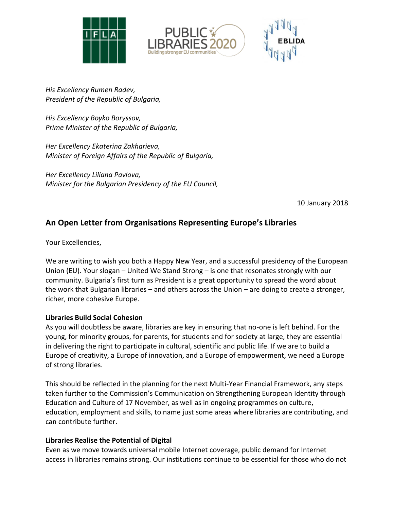





*His Excellency Rumen Radev, President of the Republic of Bulgaria,*

*His Excellency Boyko Boryssov, Prime Minister of the Republic of Bulgaria,*

*Her Excellency Ekaterina Zakharieva, Minister of Foreign Affairs of the Republic of Bulgaria,*

*Her Excellency Liliana Pavlova, Minister for the Bulgarian Presidency of the EU Council,*

10 January 2018

## **An Open Letter from Organisations Representing Europe's Libraries**

Your Excellencies,

We are writing to wish you both a Happy New Year, and a successful presidency of the European Union (EU). Your slogan – United We Stand Strong – is one that resonates strongly with our community. Bulgaria's first turn as President is a great opportunity to spread the word about the work that Bulgarian libraries – and others across the Union – are doing to create a stronger, richer, more cohesive Europe.

## **Libraries Build Social Cohesion**

As you will doubtless be aware, libraries are key in ensuring that no-one is left behind. For the young, for minority groups, for parents, for students and for society at large, they are essential in delivering the right to participate in cultural, scientific and public life. If we are to build a Europe of creativity, a Europe of innovation, and a Europe of empowerment, we need a Europe of strong libraries.

This should be reflected in the planning for the next Multi-Year Financial Framework, any steps taken further to the Commission's Communication on Strengthening European Identity through Education and Culture of 17 November, as well as in ongoing programmes on culture, education, employment and skills, to name just some areas where libraries are contributing, and can contribute further.

## **Libraries Realise the Potential of Digital**

Even as we move towards universal mobile Internet coverage, public demand for Internet access in libraries remains strong. Our institutions continue to be essential for those who do not